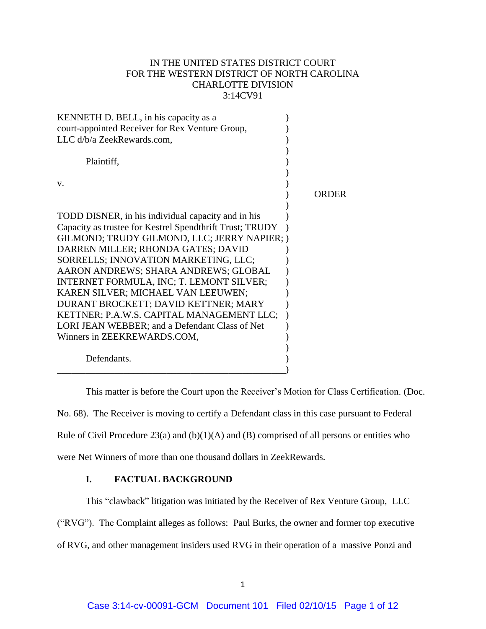## IN THE UNITED STATES DISTRICT COURT FOR THE WESTERN DISTRICT OF NORTH CAROLINA CHARLOTTE DIVISION 3:14CV91

| KENNETH D. BELL, in his capacity as a                    |       |
|----------------------------------------------------------|-------|
| court-appointed Receiver for Rex Venture Group,          |       |
| LLC d/b/a ZeekRewards.com,                               |       |
|                                                          |       |
| Plaintiff,                                               |       |
|                                                          |       |
| V.                                                       |       |
|                                                          | ORDER |
|                                                          |       |
| TODD DISNER, in his individual capacity and in his       |       |
| Capacity as trustee for Kestrel Spendthrift Trust; TRUDY |       |
| GILMOND; TRUDY GILMOND, LLC; JERRY NAPIER; )             |       |
| DARREN MILLER; RHONDA GATES; DAVID                       |       |
| SORRELLS; INNOVATION MARKETING, LLC;                     |       |
| AARON ANDREWS; SHARA ANDREWS; GLOBAL                     |       |
| INTERNET FORMULA, INC; T. LEMONT SILVER;                 |       |
| KAREN SILVER; MICHAEL VAN LEEUWEN;                       |       |
| DURANT BROCKETT; DAVID KETTNER; MARY                     |       |
| KETTNER; P.A.W.S. CAPITAL MANAGEMENT LLC;                |       |
| LORI JEAN WEBBER; and a Defendant Class of Net           |       |
| Winners in ZEEKREWARDS.COM,                              |       |
|                                                          |       |
| Defendants.                                              |       |
|                                                          |       |

This matter is before the Court upon the Receiver's Motion for Class Certification. (Doc. No. 68). The Receiver is moving to certify a Defendant class in this case pursuant to Federal Rule of Civil Procedure  $23(a)$  and  $(b)(1)(A)$  and  $(B)$  comprised of all persons or entities who were Net Winners of more than one thousand dollars in ZeekRewards.

# **I. FACTUAL BACKGROUND**

This "clawback" litigation was initiated by the Receiver of Rex Venture Group, LLC

("RVG"). The Complaint alleges as follows: Paul Burks, the owner and former top executive of RVG, and other management insiders used RVG in their operation of a massive Ponzi and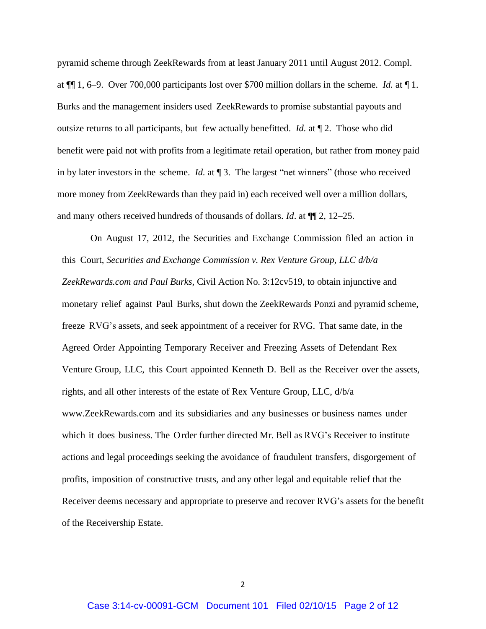pyramid scheme through ZeekRewards from at least January 2011 until August 2012. Compl. at ¶¶ 1, 6–9. Over 700,000 participants lost over \$700 million dollars in the scheme. *Id.* at ¶ 1. Burks and the management insiders used ZeekRewards to promise substantial payouts and outsize returns to all participants, but few actually benefitted. *Id.* at ¶ 2. Those who did benefit were paid not with profits from a legitimate retail operation, but rather from money paid in by later investors in the scheme. *Id.* at ¶ 3. The largest "net winners" (those who received more money from ZeekRewards than they paid in) each received well over a million dollars, and many others received hundreds of thousands of dollars. *Id*. at ¶¶ 2, 12–25.

On August 17, 2012, the Securities and Exchange Commission filed an action in this Court, *Securities and Exchange Commission v. Rex Venture Group, LLC d/b/a ZeekRewards.com and Paul Burks*, Civil Action No. 3:12cv519, to obtain injunctive and monetary relief against Paul Burks, shut down the ZeekRewards Ponzi and pyramid scheme, freeze RVG's assets, and seek appointment of a receiver for RVG. That same date, in the Agreed Order Appointing Temporary Receiver and Freezing Assets of Defendant Rex Venture Group, LLC, this Court appointed Kenneth D. Bell as the Receiver over the assets, rights, and all other interests of the estate of Rex Venture Group, LLC, d/b/[a](http://www.zeekrewards.com/) [www.ZeekRewards.com](http://www.zeekrewards.com/) and its subsidiaries and any businesses or business names under which it does business. The Order further directed Mr. Bell as RVG's Receiver to institute actions and legal proceedings seeking the avoidance of fraudulent transfers, disgorgement of profits, imposition of constructive trusts, and any other legal and equitable relief that the Receiver deems necessary and appropriate to preserve and recover RVG's assets for the benefit of the Receivership Estate.

2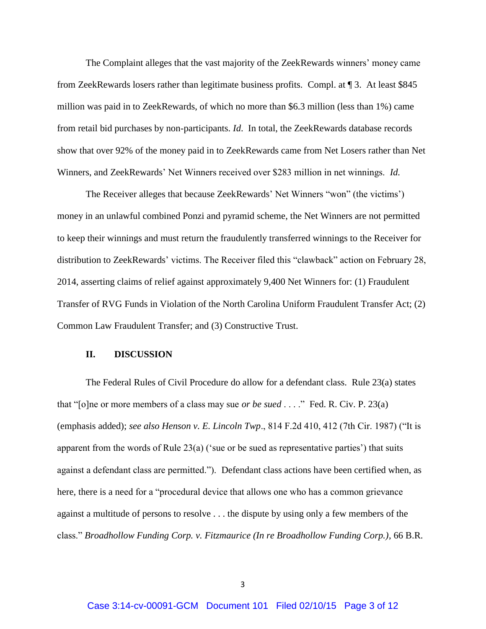The Complaint alleges that the vast majority of the ZeekRewards winners' money came from ZeekRewards losers rather than legitimate business profits. Compl. at ¶ 3. At least \$845 million was paid in to ZeekRewards, of which no more than \$6.3 million (less than 1%) came from retail bid purchases by non-participants. *Id*. In total, the ZeekRewards database records show that over 92% of the money paid in to ZeekRewards came from Net Losers rather than Net Winners, and ZeekRewards' Net Winners received over \$283 million in net winnings. *Id.*

The Receiver alleges that because ZeekRewards' Net Winners "won" (the victims') money in an unlawful combined Ponzi and pyramid scheme, the Net Winners are not permitted to keep their winnings and must return the fraudulently transferred winnings to the Receiver for distribution to ZeekRewards' victims. The Receiver filed this "clawback" action on February 28, 2014, asserting claims of relief against approximately 9,400 Net Winners for: (1) Fraudulent Transfer of RVG Funds in Violation of the North Carolina Uniform Fraudulent Transfer Act; (2) Common Law Fraudulent Transfer; and (3) Constructive Trust.

#### **II. DISCUSSION**

The Federal Rules of Civil Procedure do allow for a defendant class. Rule 23(a) states that "[o]ne or more members of a class may sue *or be sued* . . . ." Fed. R. Civ. P. 23(a) (emphasis added); *see also Henson v. E. Lincoln Twp*., 814 F.2d 410, 412 (7th Cir. 1987) ("It is apparent from the words of Rule 23(a) ('sue or be sued as representative parties') that suits against a defendant class are permitted."). Defendant class actions have been certified when, as here, there is a need for a "procedural device that allows one who has a common grievance against a multitude of persons to resolve . . . the dispute by using only a few members of the class." *Broadhollow Funding Corp. v. Fitzmaurice (In re Broadhollow Funding Corp.)*, 66 B.R.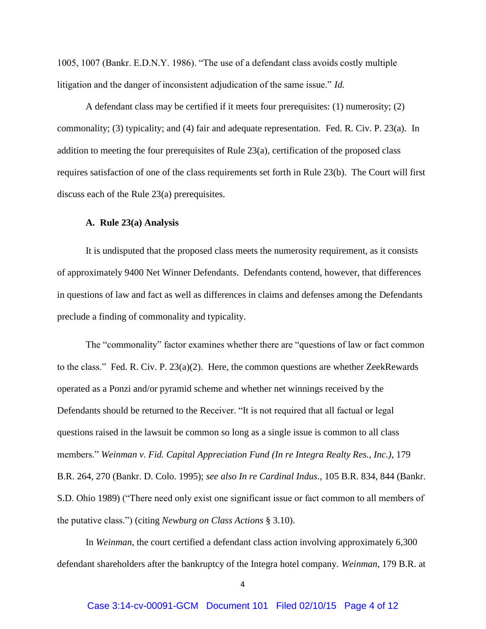1005, 1007 (Bankr. E.D.N.Y. 1986). "The use of a defendant class avoids costly multiple litigation and the danger of inconsistent adjudication of the same issue." *Id.*

A defendant class may be certified if it meets four prerequisites: (1) numerosity; (2) commonality; (3) typicality; and (4) fair and adequate representation. Fed. R. Civ. P. 23(a). In addition to meeting the four prerequisites of Rule 23(a), certification of the proposed class requires satisfaction of one of the class requirements set forth in Rule 23(b). The Court will first discuss each of the Rule 23(a) prerequisites.

## **A. Rule 23(a) Analysis**

It is undisputed that the proposed class meets the numerosity requirement, as it consists of approximately 9400 Net Winner Defendants. Defendants contend, however, that differences in questions of law and fact as well as differences in claims and defenses among the Defendants preclude a finding of commonality and typicality.

The "commonality" factor examines whether there are "questions of law or fact common to the class." Fed. R. Civ. P. 23(a)(2). Here, the common questions are whether ZeekRewards operated as a Ponzi and/or pyramid scheme and whether net winnings received by the Defendants should be returned to the Receiver. "It is not required that all factual or legal questions raised in the lawsuit be common so long as a single issue is common to all class members." *Weinman v. Fid. Capital Appreciation Fund (In re Integra Realty Res., Inc.)*, 179 B.R. 264, 270 (Bankr. D. Colo. 1995); *see also In re Cardinal Indus*., 105 B.R. 834, 844 (Bankr. S.D. Ohio 1989) ("There need only exist one significant issue or fact common to all members of the putative class.") (citing *Newburg on Class Actions* § 3.10).

In *Weinman*, the court certified a defendant class action involving approximately 6,300 defendant shareholders after the bankruptcy of the Integra hotel company. *Weinman*, 179 B.R. at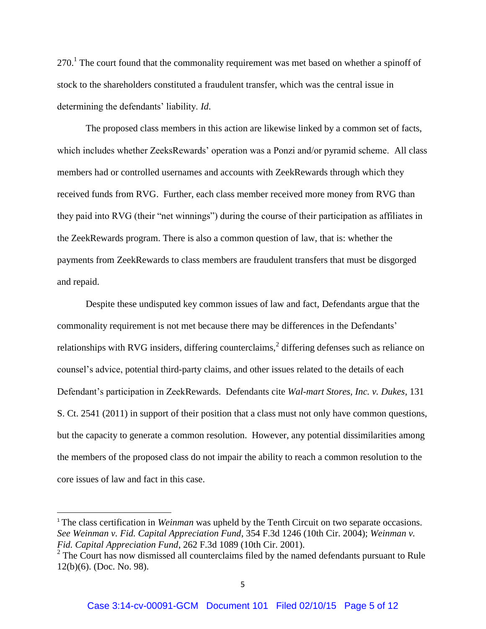$270<sup>1</sup>$  The court found that the commonality requirement was met based on whether a spinoff of stock to the shareholders constituted a fraudulent transfer, which was the central issue in determining the defendants' liability. *Id*.

The proposed class members in this action are likewise linked by a common set of facts, which includes whether ZeeksRewards' operation was a Ponzi and/or pyramid scheme. All class members had or controlled usernames and accounts with ZeekRewards through which they received funds from RVG. Further, each class member received more money from RVG than they paid into RVG (their "net winnings") during the course of their participation as affiliates in the ZeekRewards program. There is also a common question of law, that is: whether the payments from ZeekRewards to class members are fraudulent transfers that must be disgorged and repaid.

Despite these undisputed key common issues of law and fact, Defendants argue that the commonality requirement is not met because there may be differences in the Defendants' relationships with RVG insiders, differing counterclaims,<sup>2</sup> differing defenses such as reliance on counsel's advice, potential third-party claims, and other issues related to the details of each Defendant's participation in ZeekRewards. Defendants cite *Wal-mart Stores, Inc. v. Dukes*, 131 S. Ct. 2541 (2011) in support of their position that a class must not only have common questions, but the capacity to generate a common resolution. However, any potential dissimilarities among the members of the proposed class do not impair the ability to reach a common resolution to the core issues of law and fact in this case.

l

<sup>&</sup>lt;sup>1</sup> The class certification in *Weinman* was upheld by the Tenth Circuit on two separate occasions. *See Weinman v. Fid. Capital Appreciation Fund*, 354 F.3d 1246 (10th Cir. 2004); *Weinman v. Fid. Capital Appreciation Fund*, 262 F.3d 1089 (10th Cir. 2001).

 $2^2$  The Court has now dismissed all counterclaims filed by the named defendants pursuant to Rule 12(b)(6). (Doc. No. 98).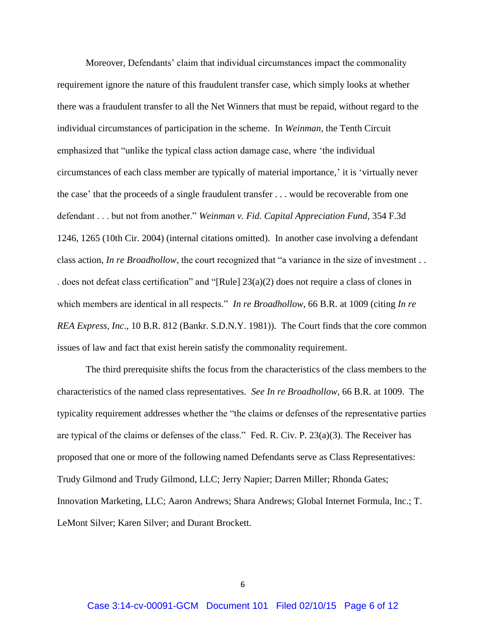Moreover, Defendants' claim that individual circumstances impact the commonality requirement ignore the nature of this fraudulent transfer case, which simply looks at whether there was a fraudulent transfer to all the Net Winners that must be repaid, without regard to the individual circumstances of participation in the scheme. In *Weinman*, the Tenth Circuit emphasized that "unlike the typical class action damage case, where 'the individual circumstances of each class member are typically of material importance,' it is 'virtually never the case' that the proceeds of a single fraudulent transfer . . . would be recoverable from one defendant . . . but not from another." *Weinman v. Fid. Capital Appreciation Fund*, 354 F.3d 1246, 1265 (10th Cir. 2004) (internal citations omitted). In another case involving a defendant class action, *In re Broadhollow*, the court recognized that "a variance in the size of investment . . . does not defeat class certification" and "[Rule] 23(a)(2) does not require a class of clones in which members are identical in all respects." *In re Broadhollow*, 66 B.R. at 1009 (citing *In re REA Express, Inc*., 10 B.R. 812 (Bankr. S.D.N.Y. 1981)). The Court finds that the core common issues of law and fact that exist herein satisfy the commonality requirement.

The third prerequisite shifts the focus from the characteristics of the class members to the characteristics of the named class representatives. *See In re Broadhollow*, 66 B.R. at 1009. The typicality requirement addresses whether the "the claims or defenses of the representative parties are typical of the claims or defenses of the class." Fed. R. Civ. P. 23(a)(3). The Receiver has proposed that one or more of the following named Defendants serve as Class Representatives: Trudy Gilmond and Trudy Gilmond, LLC; Jerry Napier; Darren Miller; Rhonda Gates; Innovation Marketing, LLC; Aaron Andrews; Shara Andrews; Global Internet Formula, Inc.; T. LeMont Silver; Karen Silver; and Durant Brockett.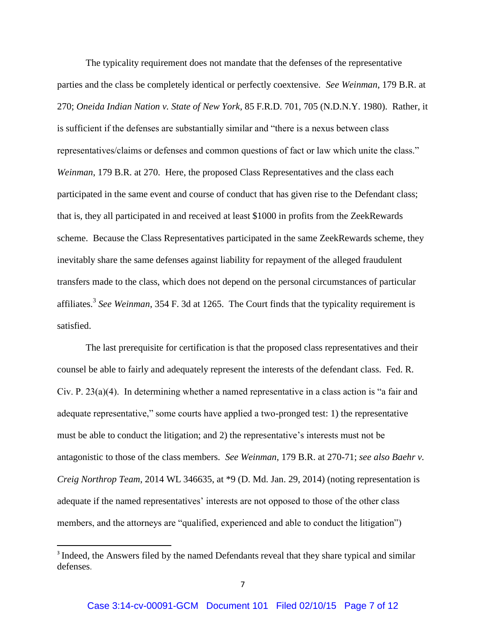The typicality requirement does not mandate that the defenses of the representative parties and the class be completely identical or perfectly coextensive. *See Weinman*, 179 B.R. at 270; *Oneida Indian Nation v. State of New York*, 85 F.R.D. 701, 705 (N.D.N.Y. 1980). Rather, it is sufficient if the defenses are substantially similar and "there is a nexus between class representatives/claims or defenses and common questions of fact or law which unite the class." *Weinman*, 179 B.R. at 270. Here, the proposed Class Representatives and the class each participated in the same event and course of conduct that has given rise to the Defendant class; that is, they all participated in and received at least \$1000 in profits from the ZeekRewards scheme. Because the Class Representatives participated in the same ZeekRewards scheme, they inevitably share the same defenses against liability for repayment of the alleged fraudulent transfers made to the class, which does not depend on the personal circumstances of particular affiliates.<sup>3</sup> See Weinman, 354 F. 3d at 1265. The Court finds that the typicality requirement is satisfied.

The last prerequisite for certification is that the proposed class representatives and their counsel be able to fairly and adequately represent the interests of the defendant class. Fed. R. Civ. P. 23(a)(4). In determining whether a named representative in a class action is "a fair and adequate representative," some courts have applied a two-pronged test: 1) the representative must be able to conduct the litigation; and 2) the representative's interests must not be antagonistic to those of the class members. *See Weinman*, 179 B.R. at 270-71; *see also Baehr v. Creig Northrop Team*, 2014 WL 346635, at \*9 (D. Md. Jan. 29, 2014) (noting representation is adequate if the named representatives' interests are not opposed to those of the other class members, and the attorneys are "qualified, experienced and able to conduct the litigation")

l

<sup>&</sup>lt;sup>3</sup> Indeed, the Answers filed by the named Defendants reveal that they share typical and similar defenses.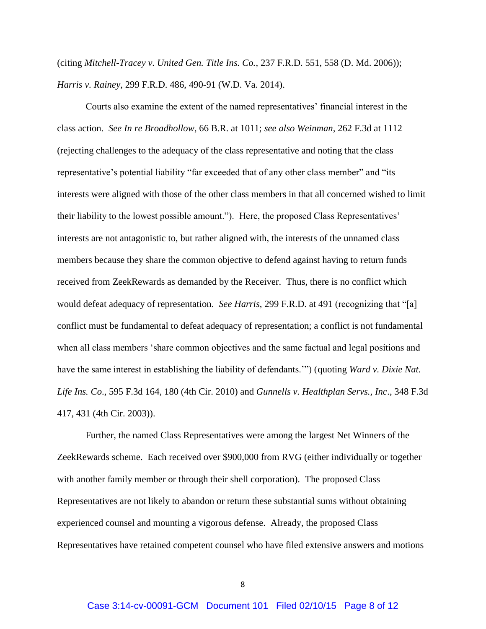(citing *Mitchell-Tracey v. United Gen. Title Ins. Co.*, 237 F.R.D. 551, 558 (D. Md. 2006)); *Harris v. Rainey*, 299 F.R.D. 486, 490-91 (W.D. Va. 2014).

Courts also examine the extent of the named representatives' financial interest in the class action. *See In re Broadhollow*, 66 B.R. at 1011; *see also Weinman*, 262 F.3d at 1112 (rejecting challenges to the adequacy of the class representative and noting that the class representative's potential liability "far exceeded that of any other class member" and "its interests were aligned with those of the other class members in that all concerned wished to limit their liability to the lowest possible amount."). Here, the proposed Class Representatives' interests are not antagonistic to, but rather aligned with, the interests of the unnamed class members because they share the common objective to defend against having to return funds received from ZeekRewards as demanded by the Receiver. Thus, there is no conflict which would defeat adequacy of representation. *See Harris*, 299 F.R.D. at 491 (recognizing that "[a] conflict must be fundamental to defeat adequacy of representation; a conflict is not fundamental when all class members 'share common objectives and the same factual and legal positions and have the same interest in establishing the liability of defendants.'") (quoting *Ward v. Dixie Nat. Life Ins. Co*., 595 F.3d 164, 180 (4th Cir. 2010) and *Gunnells v. Healthplan Servs., Inc*., 348 F.3d 417, 431 (4th Cir. 2003)).

Further, the named Class Representatives were among the largest Net Winners of the ZeekRewards scheme. Each received over \$900,000 from RVG (either individually or together with another family member or through their shell corporation). The proposed Class Representatives are not likely to abandon or return these substantial sums without obtaining experienced counsel and mounting a vigorous defense. Already, the proposed Class Representatives have retained competent counsel who have filed extensive answers and motions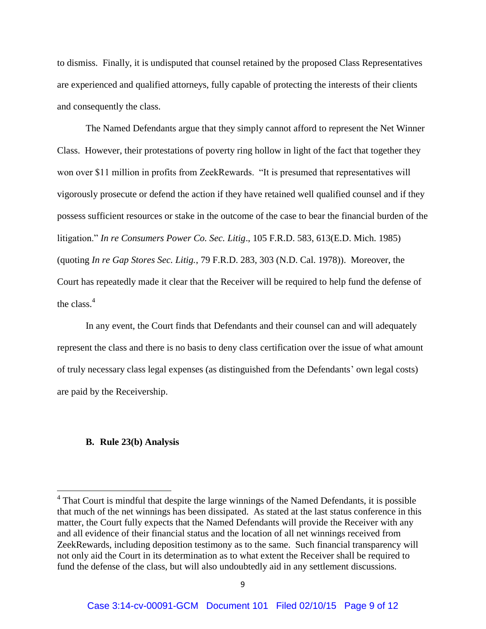to dismiss. Finally, it is undisputed that counsel retained by the proposed Class Representatives are experienced and qualified attorneys, fully capable of protecting the interests of their clients and consequently the class.

The Named Defendants argue that they simply cannot afford to represent the Net Winner Class. However, their protestations of poverty ring hollow in light of the fact that together they won over \$11 million in profits from ZeekRewards. "It is presumed that representatives will vigorously prosecute or defend the action if they have retained well qualified counsel and if they possess sufficient resources or stake in the outcome of the case to bear the financial burden of the litigation." *In re Consumers Power Co. Sec. Litig*., 105 F.R.D. 583, 613(E.D. Mich. 1985) (quoting *In re Gap Stores Sec. Litig.*, 79 F.R.D. 283, 303 (N.D. Cal. 1978)). Moreover, the Court has repeatedly made it clear that the Receiver will be required to help fund the defense of the class  $<sup>4</sup>$ </sup>

In any event, the Court finds that Defendants and their counsel can and will adequately represent the class and there is no basis to deny class certification over the issue of what amount of truly necessary class legal expenses (as distinguished from the Defendants' own legal costs) are paid by the Receivership.

## **B. Rule 23(b) Analysis**

<sup>&</sup>lt;sup>4</sup> That Court is mindful that despite the large winnings of the Named Defendants, it is possible that much of the net winnings has been dissipated. As stated at the last status conference in this matter, the Court fully expects that the Named Defendants will provide the Receiver with any and all evidence of their financial status and the location of all net winnings received from ZeekRewards, including deposition testimony as to the same. Such financial transparency will not only aid the Court in its determination as to what extent the Receiver shall be required to fund the defense of the class, but will also undoubtedly aid in any settlement discussions.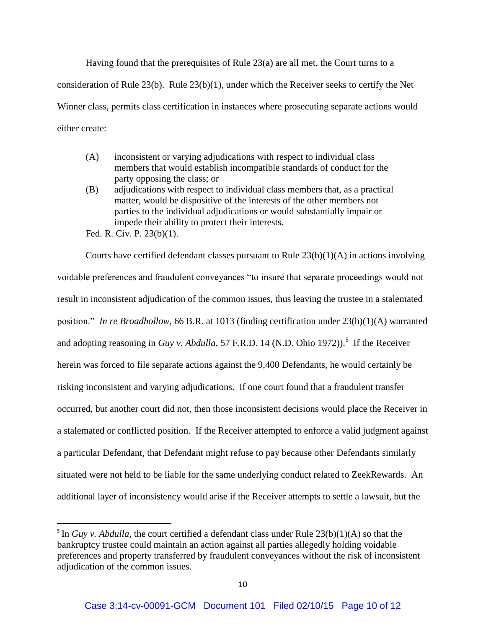Having found that the prerequisites of Rule 23(a) are all met, the Court turns to a consideration of Rule 23(b). Rule 23(b)(1), under which the Receiver seeks to certify the Net Winner class, permits class certification in instances where prosecuting separate actions would either create:

- (A) inconsistent or varying adjudications with respect to individual class members that would establish incompatible standards of conduct for the party opposing the class; or
- (B) adjudications with respect to individual class members that, as a practical matter, would be dispositive of the interests of the other members not parties to the individual adjudications or would substantially impair or impede their ability to protect their interests.

Fed. R. Civ. P. 23(b)(1).

 $\overline{\phantom{a}}$ 

Courts have certified defendant classes pursuant to Rule 23(b)(1)(A) in actions involving voidable preferences and fraudulent conveyances "to insure that separate proceedings would not result in inconsistent adjudication of the common issues, thus leaving the trustee in a stalemated position." *In re Broadhollow*, 66 B.R. at 1013 (finding certification under 23(b)(1)(A) warranted and adopting reasoning in *Guy v. Abdulla*, 57 F.R.D. 14 (N.D. Ohio 1972)).<sup>5</sup> If the Receiver herein was forced to file separate actions against the 9,400 Defendants, he would certainly be risking inconsistent and varying adjudications. If one court found that a fraudulent transfer occurred, but another court did not, then those inconsistent decisions would place the Receiver in a stalemated or conflicted position. If the Receiver attempted to enforce a valid judgment against a particular Defendant, that Defendant might refuse to pay because other Defendants similarly situated were not held to be liable for the same underlying conduct related to ZeekRewards. An additional layer of inconsistency would arise if the Receiver attempts to settle a lawsuit, but the

<sup>&</sup>lt;sup>5</sup> In *Guy v. Abdulla*, the court certified a defendant class under Rule  $23(b)(1)(A)$  so that the bankruptcy trustee could maintain an action against all parties allegedly holding voidable preferences and property transferred by fraudulent conveyances without the risk of inconsistent adjudication of the common issues.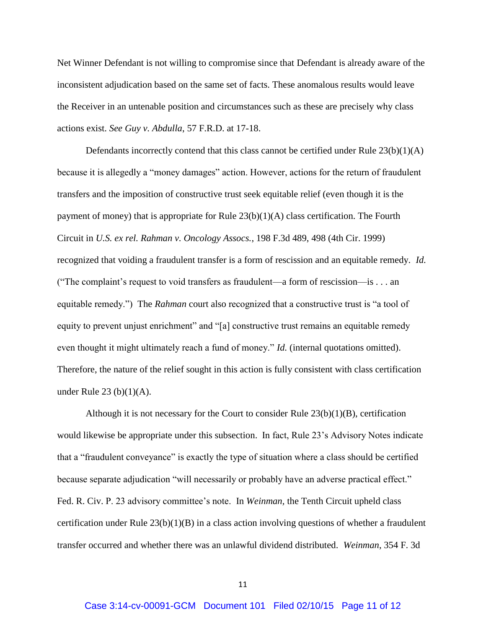Net Winner Defendant is not willing to compromise since that Defendant is already aware of the inconsistent adjudication based on the same set of facts. These anomalous results would leave the Receiver in an untenable position and circumstances such as these are precisely why class actions exist. *See Guy v. Abdulla*, 57 F.R.D. at 17-18.

Defendants incorrectly contend that this class cannot be certified under Rule  $23(b)(1)(A)$ because it is allegedly a "money damages" action. However, actions for the return of fraudulent transfers and the imposition of constructive trust seek equitable relief (even though it is the payment of money) that is appropriate for Rule  $23(b)(1)(A)$  class certification. The Fourth Circuit in *U.S. ex rel. Rahman v. Oncology Assocs.*, 198 F.3d 489, 498 (4th Cir. 1999) recognized that voiding a fraudulent transfer is a form of rescission and an equitable remedy. *Id.* ("The complaint's request to void transfers as fraudulent—a form of rescission—is . . . an equitable remedy.") The *Rahman* court also recognized that a constructive trust is "a tool of equity to prevent unjust enrichment" and "[a] constructive trust remains an equitable remedy even thought it might ultimately reach a fund of money." *Id.* (internal quotations omitted). Therefore, the nature of the relief sought in this action is fully consistent with class certification under Rule 23 (b) $(1)(A)$ .

Although it is not necessary for the Court to consider Rule  $23(b)(1)(B)$ , certification would likewise be appropriate under this subsection. In fact, Rule 23's Advisory Notes indicate that a "fraudulent conveyance" is exactly the type of situation where a class should be certified because separate adjudication "will necessarily or probably have an adverse practical effect." Fed. R. Civ. P. 23 advisory committee's note. In *Weinman,* the Tenth Circuit upheld class certification under Rule  $23(b)(1)(B)$  in a class action involving questions of whether a fraudulent transfer occurred and whether there was an unlawful dividend distributed. *Weinman*, 354 F. 3d